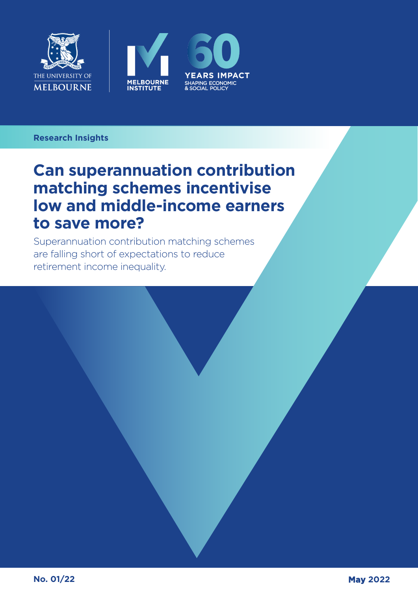





### **Research Insights**

## **Can superannuation contribution matching schemes incentivise low and middle-income earners to save more?**

Superannuation contribution matching schemes are falling short of expectations to reduce retirement income inequality.

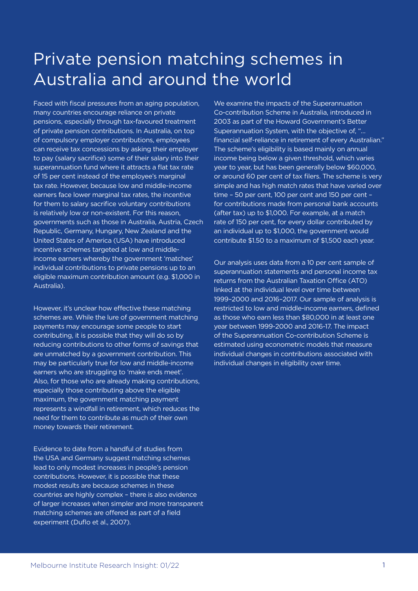# Private pension matching schemes in Australia and around the world

Faced with fiscal pressures from an aging population, many countries encourage reliance on private pensions, especially through tax-favoured treatment of private pension contributions. In Australia, on top of compulsory employer contributions, employees can receive tax concessions by asking their employer to pay (salary sacrifice) some of their salary into their superannuation fund where it attracts a flat tax rate of 15 per cent instead of the employee's marginal tax rate. However, because low and middle-income earners face lower marginal tax rates, the incentive for them to salary sacrifice voluntary contributions is relatively low or non-existent. For this reason, governments such as those in Australia, Austria, Czech Republic, Germany, Hungary, New Zealand and the United States of America (USA) have introduced incentive schemes targeted at low and middleincome earners whereby the government 'matches' individual contributions to private pensions up to an eligible maximum contribution amount (e.g. \$1,000 in Australia).

However, it's unclear how effective these matching schemes are. While the lure of government matching payments may encourage some people to start contributing, it is possible that they will do so by reducing contributions to other forms of savings that are unmatched by a government contribution. This may be particularly true for low and middle-income earners who are struggling to 'make ends meet'. Also, for those who are already making contributions, especially those contributing above the eligible maximum, the government matching payment represents a windfall in retirement, which reduces the need for them to contribute as much of their own money towards their retirement.

Evidence to date from a handful of studies from the USA and Germany suggest matching schemes lead to only modest increases in people's pension contributions. However, it is possible that these modest results are because schemes in these countries are highly complex – there is also evidence of larger increases when simpler and more transparent matching schemes are offered as part of a field experiment (Duflo et al., 2007).

We examine the impacts of the Superannuation Co-contribution Scheme in Australia, introduced in 2003 as part of the Howard Government's Better Superannuation System, with the objective of, "… financial self-reliance in retirement of every Australian." The scheme's eligibility is based mainly on annual income being below a given threshold, which varies year to year, but has been generally below \$60,000, or around 60 per cent of tax filers. The scheme is very simple and has high match rates that have varied over time – 50 per cent, 100 per cent and 150 per cent – for contributions made from personal bank accounts (after tax) up to \$1,000. For example, at a match rate of 150 per cent, for every dollar contributed by an individual up to \$1,000, the government would contribute \$1.50 to a maximum of \$1,500 each year.

Our analysis uses data from a 10 per cent sample of superannuation statements and personal income tax returns from the Australian Taxation Office (ATO) linked at the individual level over time between 1999–2000 and 2016–2017. Our sample of analysis is restricted to low and middle-income earners, defined as those who earn less than \$80,000 in at least one year between 1999-2000 and 2016-17. The impact of the Superannuation Co-contribution Scheme is estimated using econometric models that measure individual changes in contributions associated with individual changes in eligibility over time.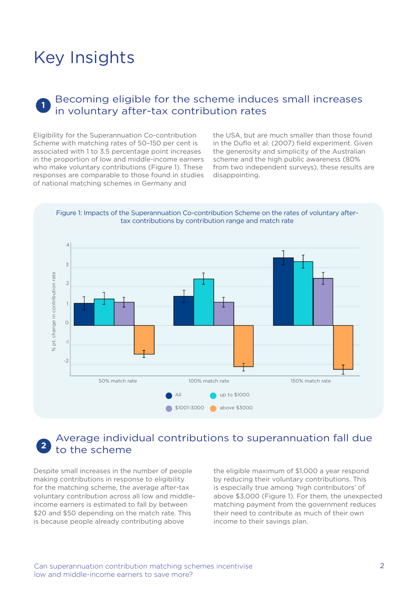## Key Insights

### **1** Becoming eligible for the scheme induces small increases in voluntary after-tax contribution rates

Eligibility for the Superannuation Co-contribution Scheme with matching rates of 50–150 per cent is associated with 1 to 3.5 percentage point increases in the proportion of low and middle-income earners who make voluntary contributions (Figure 1). These responses are comparable to those found in studies of national matching schemes in Germany and

the USA, but are much smaller than those found in the Duflo et al. (2007) field experiment. Given the generosity and simplicity of the Australian scheme and the high public awareness (80% from two independent surveys), these results are disappointing.

Figure 1: Impacts of the Superannuation Co-contribution Scheme on the rates of voluntary aftertax contributions by contribution range and match rate



### **2** Average individual contributions to superannuation fall due to the scheme

Despite small increases in the number of people making contributions in response to eligibility for the matching scheme, the average after-tax voluntary contribution across all low and middleincome earners is estimated to fall by between \$20 and \$50 depending on the match rate. This is because people already contributing above

the eligible maximum of \$1,000 a year respond by reducing their voluntary contributions. This is especially true among 'high contributors' of above \$3,000 (Figure 1). For them, the unexpected matching payment from the government reduces their need to contribute as much of their own income to their savings plan.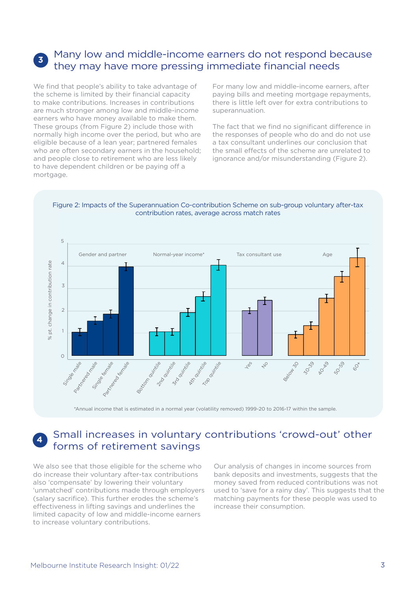### **<sup>3</sup>** Many low and middle-income earners do not respond because they may have more pressing immediate financial needs

We find that people's ability to take advantage of the scheme is limited by their financial capacity to make contributions. Increases in contributions are much stronger among low and middle-income earners who have money available to make them. These groups (from Figure 2) include those with normally high income over the period, but who are eligible because of a lean year; partnered females who are often secondary earners in the household; and people close to retirement who are less likely to have dependent children or be paying off a mortgage.

For many low and middle-income earners, after paying bills and meeting mortgage repayments, there is little left over for extra contributions to superannuation.

The fact that we find no significant difference in the responses of people who do and do not use a tax consultant underlines our conclusion that the small effects of the scheme are unrelated to ignorance and/or misunderstanding (Figure 2).

### Figure 2: Impacts of the Superannuation Co-contribution Scheme on sub-group voluntary after-tax contribution rates, average across match rates



\*Annual income that is estimated in a normal year (volatility removed) 1999-20 to 2016-17 within the sample.

## **<sup>4</sup>** Small increases in voluntary contributions 'crowd-out' other forms of retirement savings

We also see that those eligible for the scheme who do increase their voluntary after-tax contributions also 'compensate' by lowering their voluntary 'unmatched' contributions made through employers (salary sacrifice). This further erodes the scheme's effectiveness in lifting savings and underlines the limited capacity of low and middle-income earners to increase voluntary contributions.

Our analysis of changes in income sources from bank deposits and investments, suggests that the money saved from reduced contributions was not used to 'save for a rainy day'. This suggests that the matching payments for these people was used to increase their consumption.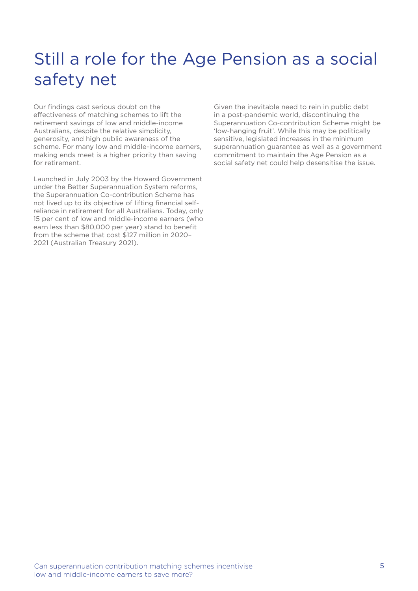# Still a role for the Age Pension as a social safety net

Our findings cast serious doubt on the effectiveness of matching schemes to lift the retirement savings of low and middle-income Australians, despite the relative simplicity, generosity, and high public awareness of the scheme. For many low and middle-income earners, making ends meet is a higher priority than saving for retirement.

Launched in July 2003 by the Howard Government under the Better Superannuation System reforms, the Superannuation Co-contribution Scheme has not lived up to its objective of lifting financial selfreliance in retirement for all Australians. Today, only 15 per cent of low and middle-income earners (who earn less than \$80,000 per year) stand to benefit from the scheme that cost \$127 million in 2020– 2021 (Australian Treasury 2021).

Given the inevitable need to rein in public debt in a post-pandemic world, discontinuing the Superannuation Co-contribution Scheme might be 'low-hanging fruit'. While this may be politically sensitive, legislated increases in the minimum superannuation guarantee as well as a government commitment to maintain the Age Pension as a social safety net could help desensitise the issue.